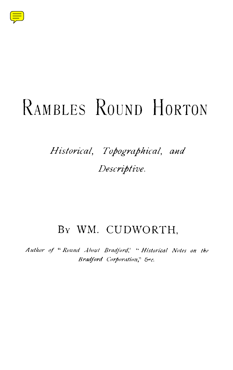

# RAMBLES ROUND HORTON

## $Historical,$  Topographical, and *.*

## By WM. CUDWORTH,

*Author of " Round About Bradford, ' " Historical Notes on the Bradford Corporation," &c .*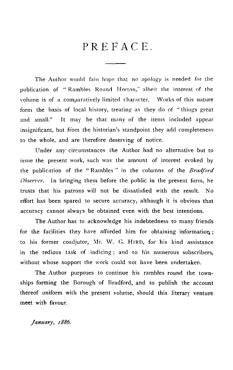### PREFACE.

The Author would fain hope that no apology is needed for the publication of "Rambles Round Horton," albeit the interest of the volume is of a comparatively limited character. Works of this nature form the basis of local history, treating as they do of "things great and small." It may be that many of the items included appear insignificant, but from the historian's standpoint they add completeness to the whole, and are therefore deserving of notice.

Under any circumstances the Author had no alternative but to issue the present work, such was the amount *of* interest evoked by the publication of the " Rambles " in the columns of the *Bradford Observer.* In bringing them before the public in the present form, he trusts that his patrons will not be dissatisfied with the result. No effort has been spared to secure accuracy, although it is obvious that accuracy cannot always be obtained even with the best intentions.

The Author has to acknowledge his indebtedness to many friends for the facilities they have afforded him for obtaining information ; to his former coadjutor, Mr. W. G. HIRD, for his kind assistance in the tedious task of indicing; and to his numerous subscribers, without whose support the work could not have been undertaken.

The Author purposes to continue his rambles round the townships forming the Borough of Bradford, and to publish the account thereof uniform with the present volume, should this literary venture meet with favour.

*January, 1886.*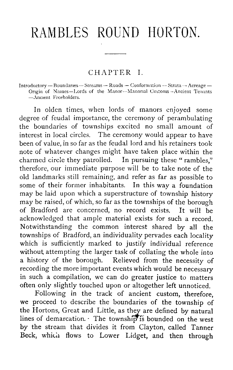# RAMBLES ROUND HORTON.

#### CHAPTER<sub>I</sub>.

Introductory — Boundaries — Streams — Roads — Conformation -- Strata — Acreage — Origin of Names-Lords of the Manor-Manorial Customs-Ancient Tenants —Ancient Freeholders .

In olden times, when lords of manors enjoyed some degree of feudal importance, the ceremony of perambulating the boundaries of townships excited no small amount of interest in local circles. The ceremony would appear to have been of value, in so far as the feudal lord and his retainers took note of whatever changes might have taken place within the charmed circle they patrolled. In pursuing these "rambles," therefore, our immediate purpose will be to take note of the old landmarks still remaining, and refer as far as possible to some of their former inhabitants. may be laid upon which a superstructure of township history may be raised, of which, so far as the townships of the borough of Bradford are concerned, no record exists. It will be acknowledged that ample material exists for such a record. Notwithstanding the common interest shared by all the townships of Bradford, an individuality pervades each locality which is sufficiently marked to justify individual reference without attempting the larger task of collating the whole into a history of the borough. Relieved from the necessity of recording the more important events which would be necessary in such a compilation, we can do greater justice to matters often only slightly touched upon or altogether left unnoticed.

Following in the track of ancient custom, therefore, we proceed to describe the boundaries of the township of the Hortons, Great and Little, as they are defined by natural lines of demarcation.  $\cdot$  The township is bounded on the west by the stream that divides it from Clayton, called Tanner Beck, which flows to Lower Lidget, and then through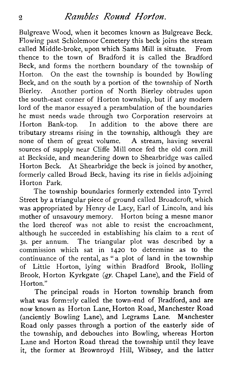#### *<sup>2</sup> Rambles Round Horton .*

Bulgreave Wood, when it becomes known as Bulgreave Beck . Flowing past Scholemoor Cemetery this beck joins the stream called Middle-broke, upon which Sams Mill is situate. From thence to the town of Bradford it is called the Bradford Beck, and forms the northern boundary of the township of Horton. On the east the township is bounded by Bowling Beck, and on the south by a portion of the township of North Bierley. Another portion of North Bierley obtrudes upon the south-east corner of Horton township, but if any modern lord of the manor essayed a perambulation of the boundaries he must needs wade through two Corporation reservoirs at Horton Bank-top. In addition to the above there are tributary streams rising in the township, although they are none of them of great volume. A stream, having several sources of supply near Cliffe Mill once fed the old corn mill at Beckside, and meandering down to Shearbridge was called Horton Beck. At Shearbridge the beck is joined by another, formerly called Broad Beck, having its rise in fields adjoining Horton Park.

The township boundaries formerly extended into Tyrrel Street by a triangular piece of ground called Broadcroft, which was appropriated by Henry de Lacy, Earl of Lincoln, and his mother of unsavoury memory. Horton being a mesne manor the lord thereof was not able to resist the encroachment, although he succeeded in establishing his claim to a rent of 3s. per annum. The triangular plot was described by a commission which sat in <sup>1420</sup> to determine as to the continuance of the rental, as "a plot of land in the township of Little Horton, lying within Bradford Brook, Bolling Brook, Horton Kyrkgate (qy. Chapel Lane), and the Field of Horton."

The principal roads in Horton township branch from what was formerly called the town-end of Bradford, and are now known as Horton Lane, Horton Road, Manchester Road (anciently Bowling Lane), and Legrams Lane . Manchester Road only passes through a portion of the easterly side of the township, and debouches into Bowling, whereas Horton Lane and Horton Road thread the township until they leave it, the former at Brownroyd Hill, Wibsey, and the latter